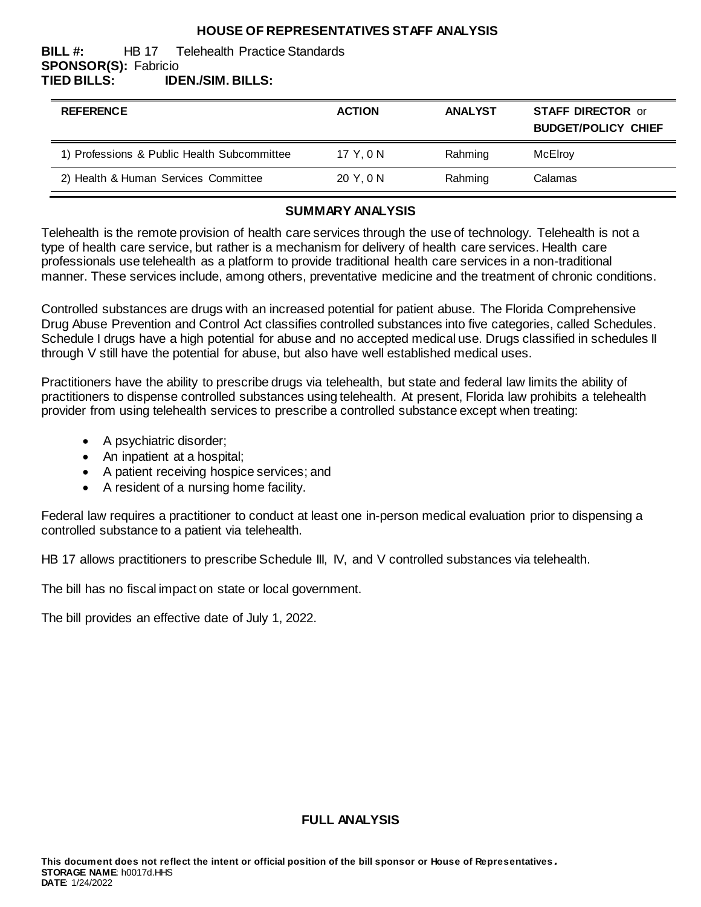### **HOUSE OF REPRESENTATIVES STAFF ANALYSIS**

#### **BILL #:** HB 17 Telehealth Practice Standards **SPONSOR(S):** Fabricio **TIED BILLS: IDEN./SIM. BILLS:**

| <b>REFERENCE</b>                            | <b>ACTION</b> | <b>ANALYST</b> | <b>STAFF DIRECTOR or</b><br><b>BUDGET/POLICY CHIEF</b> |
|---------------------------------------------|---------------|----------------|--------------------------------------------------------|
| 1) Professions & Public Health Subcommittee | 17 Y.ON       | Rahming        | McElroy                                                |
| 2) Health & Human Services Committee        | 20 Y, 0 N     | Rahming        | Calamas                                                |

#### **SUMMARY ANALYSIS**

Telehealth is the remote provision of health care services through the use of technology. Telehealth is not a type of health care service, but rather is a mechanism for delivery of health care services. Health care professionals use telehealth as a platform to provide traditional health care services in a non-traditional manner. These services include, among others, preventative medicine and the treatment of chronic conditions.

Controlled substances are drugs with an increased potential for patient abuse. The Florida Comprehensive Drug Abuse Prevention and Control Act classifies controlled substances into five categories, called Schedules. Schedule I drugs have a high potential for abuse and no accepted medical use. Drugs classified in schedules II through V still have the potential for abuse, but also have well established medical uses.

Practitioners have the ability to prescribe drugs via telehealth, but state and federal law limits the ability of practitioners to dispense controlled substances using telehealth. At present, Florida law prohibits a telehealth provider from using telehealth services to prescribe a controlled substance except when treating:

- A psychiatric disorder;
- An inpatient at a hospital;
- A patient receiving hospice services; and
- A resident of a nursing home facility.

Federal law requires a practitioner to conduct at least one in-person medical evaluation prior to dispensing a controlled substance to a patient via telehealth.

HB 17 allows practitioners to prescribe Schedule III, IV, and V controlled substances via telehealth.

The bill has no fiscal impact on state or local government.

The bill provides an effective date of July 1, 2022.

**FULL ANALYSIS**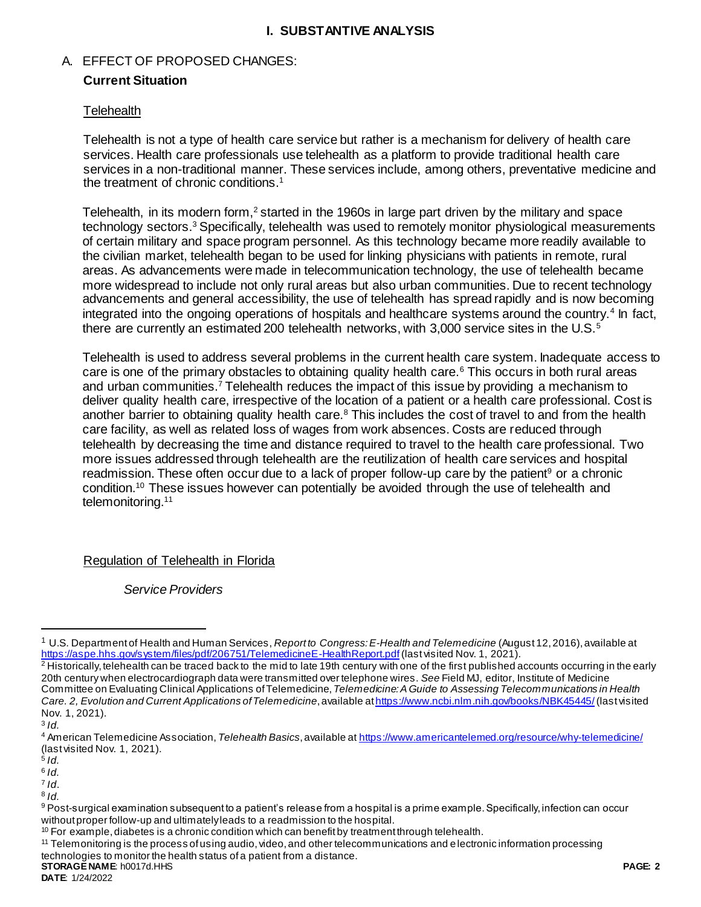## **I. SUBSTANTIVE ANALYSIS**

## A. EFFECT OF PROPOSED CHANGES:

## **Current Situation**

## **Telehealth**

Telehealth is not a type of health care service but rather is a mechanism for delivery of health care services. Health care professionals use telehealth as a platform to provide traditional health care services in a non-traditional manner. These services include, among others, preventative medicine and the treatment of chronic conditions.<sup>1</sup>

Telehealth, in its modern form,<sup>2</sup> started in the 1960s in large part driven by the military and space technology sectors.<sup>3</sup> Specifically, telehealth was used to remotely monitor physiological measurements of certain military and space program personnel. As this technology became more readily available to the civilian market, telehealth began to be used for linking physicians with patients in remote, rural areas. As advancements were made in telecommunication technology, the use of telehealth became more widespread to include not only rural areas but also urban communities. Due to recent technology advancements and general accessibility, the use of telehealth has spread rapidly and is now becoming integrated into the ongoing operations of hospitals and healthcare systems around the country.<sup>4</sup> In fact, there are currently an estimated 200 telehealth networks, with 3,000 service sites in the U.S.<sup>5</sup>

Telehealth is used to address several problems in the current health care system. Inadequate access to care is one of the primary obstacles to obtaining quality health care.<sup>6</sup> This occurs in both rural areas and urban communities.<sup>7</sup> Telehealth reduces the impact of this issue by providing a mechanism to deliver quality health care, irrespective of the location of a patient or a health care professional. Cost is another barrier to obtaining quality health care.<sup>8</sup> This includes the cost of travel to and from the health care facility, as well as related loss of wages from work absences. Costs are reduced through telehealth by decreasing the time and distance required to travel to the health care professional. Two more issues addressed through telehealth are the reutilization of health care services and hospital readmission. These often occur due to a lack of proper follow-up care by the patient<sup>9</sup> or a chronic condition.<sup>10</sup> These issues however can potentially be avoided through the use of telehealth and telemonitoring.<sup>11</sup>

# Regulation of Telehealth in Florida

*Service Providers*

 $\overline{a}$ 

<sup>1</sup> U.S. Department of Health and Human Services, *Report to Congress: E-Health and Telemedicine* (August 12, 2016), available at <https://aspe.hhs.gov/system/files/pdf/206751/TelemedicineE-HealthReport.pdf> (last visited Nov. 1, 2021).

<sup>&</sup>lt;sup>2</sup> Historically, telehealth can be traced back to the mid to late 19th century with one of the first published accounts occurring in the early 20th century when electrocardiograph data were transmitted over telephone wires. *See* Field MJ, editor, Institute of Medicine Committee on Evaluating Clinical Applications of Telemedicine, *Telemedicine: A Guide to Assessing Telecommunications in Health Care. 2, Evolution and Current Applications of Telemedicine*, available a[thttps://www.ncbi.nlm.nih.gov/books/NBK45445/](https://www.ncbi.nlm.nih.gov/books/NBK45445/) (last visited Nov. 1, 2021).

<sup>3</sup> *Id.*

<sup>4</sup> American Telemedicine Association, *Telehealth Basics*, available at <https://www.americantelemed.org/resource/why-telemedicine/> (last visited Nov. 1, 2021).

<sup>5</sup> *Id.*

<sup>6</sup> *Id.*

<sup>7</sup> *Id*.

<sup>8</sup> *Id.*

<sup>9</sup> Post-surgical examination subsequent to a patient's release from a hospital is a prime example. Specifically, infection can occur without proper follow-up and ultimately leads to a readmission to the hospital.

 $10$  For example, diabetes is a chronic condition which can benefit by treatment through telehealth.

<sup>11</sup> Telemonitoring is the process of using audio, video, and other telecommunications and electronic information processing

**STORAGE NAME**: h0017d.HHS **PAGE: 2** technologies to monitor the health status of a patient from a distance.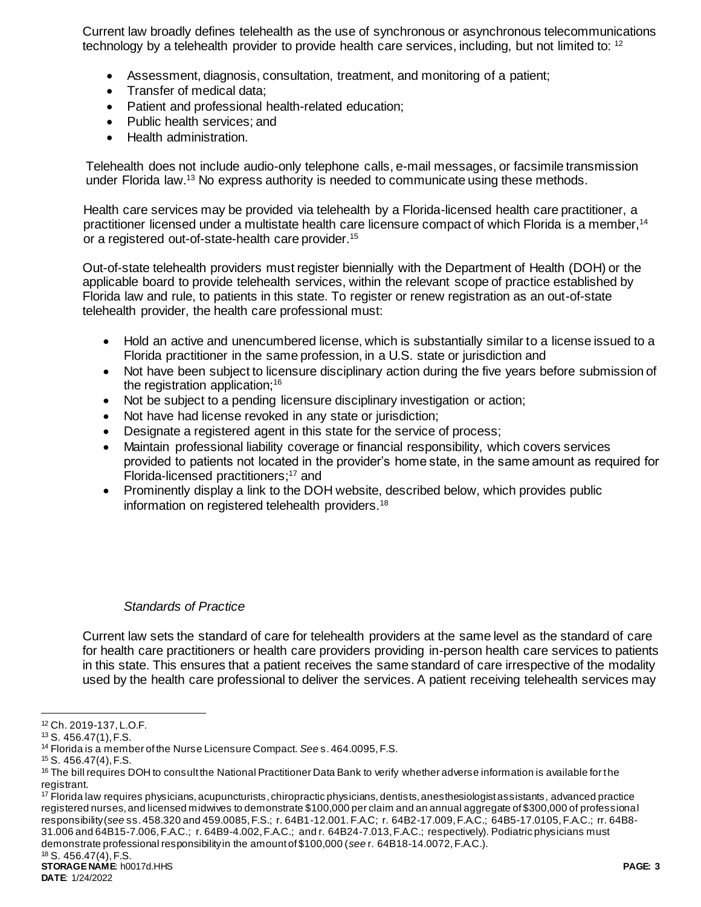Current law broadly defines telehealth as the use of synchronous or asynchronous telecommunications technology by a telehealth provider to provide health care services, including, but not limited to: <sup>12</sup>

- Assessment, diagnosis, consultation, treatment, and monitoring of a patient;
- Transfer of medical data:
- Patient and professional health-related education;
- Public health services; and
- Health administration.

Telehealth does not include audio-only telephone calls, e-mail messages, or facsimile transmission under Florida law.<sup>13</sup> No express authority is needed to communicate using these methods.

Health care services may be provided via telehealth by a Florida-licensed health care practitioner, a practitioner licensed under a multistate health care licensure compact of which Florida is a member,<sup>14</sup> or a registered out-of-state-health care provider.<sup>15</sup>

Out-of-state telehealth providers must register biennially with the Department of Health (DOH) or the applicable board to provide telehealth services, within the relevant scope of practice established by Florida law and rule, to patients in this state. To register or renew registration as an out-of-state telehealth provider, the health care professional must:

- Hold an active and unencumbered license, which is substantially similar to a license issued to a Florida practitioner in the same profession, in a U.S. state or jurisdiction and
- Not have been subject to licensure disciplinary action during the five years before submission of the registration application;<sup>16</sup>
- Not be subject to a pending licensure disciplinary investigation or action;
- Not have had license revoked in any state or jurisdiction;
- Designate a registered agent in this state for the service of process;
- Maintain professional liability coverage or financial responsibility, which covers services provided to patients not located in the provider's home state, in the same amount as required for Florida-licensed practitioners;<sup>17</sup> and
- Prominently display a link to the DOH website, described below, which provides public information on registered telehealth providers.<sup>18</sup>

#### *Standards of Practice*

Current law sets the standard of care for telehealth providers at the same level as the standard of care for health care practitioners or health care providers providing in-person health care services to patients in this state. This ensures that a patient receives the same standard of care irrespective of the modality used by the health care professional to deliver the services. A patient receiving telehealth services may

l

<sup>17</sup> Florida law requires physicians, acupuncturists, chiropractic physicians, dentists, anes thesiologist assistants, advanced practice registered nurses, and licensed midwives to demonstrate \$100,000 per claim and an annual aggregate of \$300,000 of professional responsibility (*see* ss. 458.320 and 459.0085, F.S.; r. 64B1-12.001. F.A.C; r. 64B2-17.009, F.A.C.; 64B5-17.0105, F.A.C.; rr. 64B8- 31.006 and 64B15-7.006, F.A.C.; r. 64B9-4.002, F.A.C.; and r. 64B24-7.013, F.A.C.; respectively). Podiatric physicians must demonstrate professional responsibility in the amount of \$100,000 (*see* r. 64B18-14.0072, F.A.C.).

<sup>12</sup> Ch. 2019-137, L.O.F.

<sup>13</sup> S. 456.47(1), F.S.

<sup>14</sup> Florida is a member of the Nurse Licensure Compact. *See* s. 464.0095, F.S.

<sup>15</sup> S. 456.47(4), F.S.

<sup>&</sup>lt;sup>16</sup> The bill requires DOH to consult the National Practitioner Data Bank to verify whether adverse information is available for the registrant.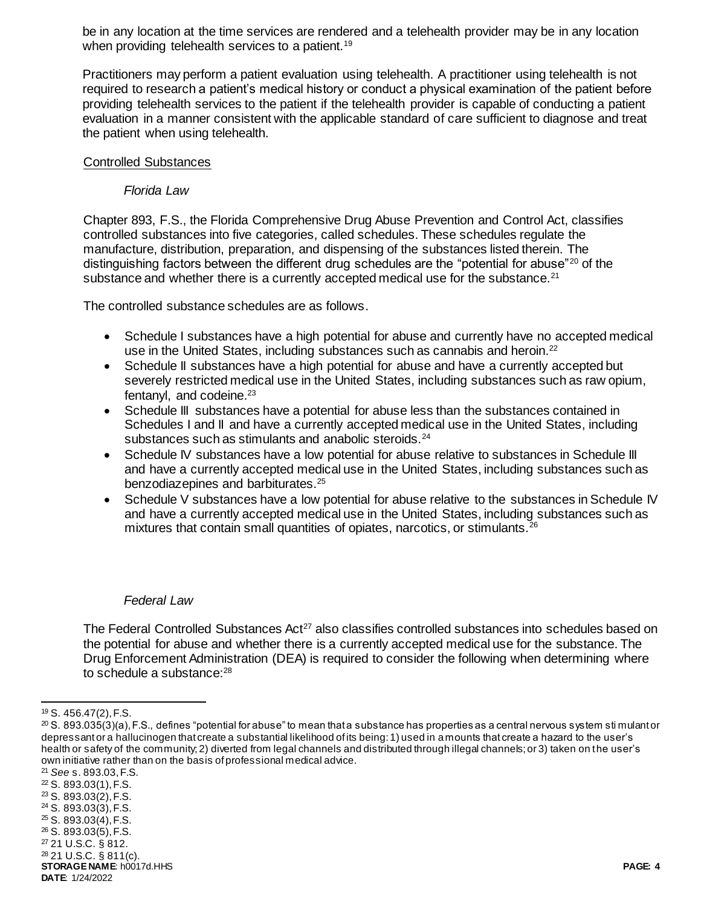be in any location at the time services are rendered and a telehealth provider may be in any location when providing telehealth services to a patient.<sup>19</sup>

Practitioners may perform a patient evaluation using telehealth. A practitioner using telehealth is not required to research a patient's medical history or conduct a physical examination of the patient before providing telehealth services to the patient if the telehealth provider is capable of conducting a patient evaluation in a manner consistent with the applicable standard of care sufficient to diagnose and treat the patient when using telehealth.

#### Controlled Substances

#### *Florida Law*

Chapter 893, F.S., the Florida Comprehensive Drug Abuse Prevention and Control Act, classifies controlled substances into five categories, called schedules. These schedules regulate the manufacture, distribution, preparation, and dispensing of the substances listed therein. The distinguishing factors between the different drug schedules are the "potential for abuse"<sup>20</sup> of the substance and whether there is a currently accepted medical use for the substance. $21$ 

The controlled substance schedules are as follows.

- Schedule I substances have a high potential for abuse and currently have no accepted medical use in the United States, including substances such as cannabis and heroin.<sup>22</sup>
- Schedule II substances have a high potential for abuse and have a currently accepted but severely restricted medical use in the United States, including substances such as raw opium, fentanyl, and codeine.<sup>23</sup>
- Schedule III substances have a potential for abuse less than the substances contained in Schedules I and II and have a currently accepted medical use in the United States, including substances such as stimulants and anabolic steroids.<sup>24</sup>
- Schedule IV substances have a low potential for abuse relative to substances in Schedule III and have a currently accepted medical use in the United States, including substances such as benzodiazepines and barbiturates.<sup>25</sup>
- Schedule V substances have a low potential for abuse relative to the substances in Schedule IV and have a currently accepted medical use in the United States, including substances such as mixtures that contain small quantities of opiates, narcotics, or stimulants.<sup>26</sup>

#### *Federal Law*

The Federal Controlled Substances Act<sup>27</sup> also classifies controlled substances into schedules based on the potential for abuse and whether there is a currently accepted medical use for the substance. The Drug Enforcement Administration (DEA) is required to consider the following when determining where to schedule a substance:<sup>28</sup>

l <sup>19</sup> S. 456.47(2), F.S.

 $^{20}$  S. 893.035(3)(a), F.S., defines "potential for abuse" to mean that a substance has properties as a central nervous system sti mulant or depressant or a hallucinogen that create a substantial likelihood of its being: 1) used in a mounts that create a hazard to the user's health or safety of the community; 2) diverted from legal channels and distributed through illegal channels; or 3) taken on the user's own initiative rather than on the basis of professional medical advice.

**STORAGE NAME**: h0017d.HHS **PAGE: 4 DATE**: 1/24/2022 <sup>21</sup> *See* s. 893.03, F.S. <sup>22</sup> S. 893.03(1), F.S. <sup>23</sup> S. 893.03(2), F.S.  $24$  S. 893.03(3), F.S. <sup>25</sup> S. 893.03(4), F.S. <sup>26</sup> S. 893.03(5), F.S. <sup>27</sup> 21 U.S.C. § 812. <sup>28</sup> 21 U.S.C. § 811(c).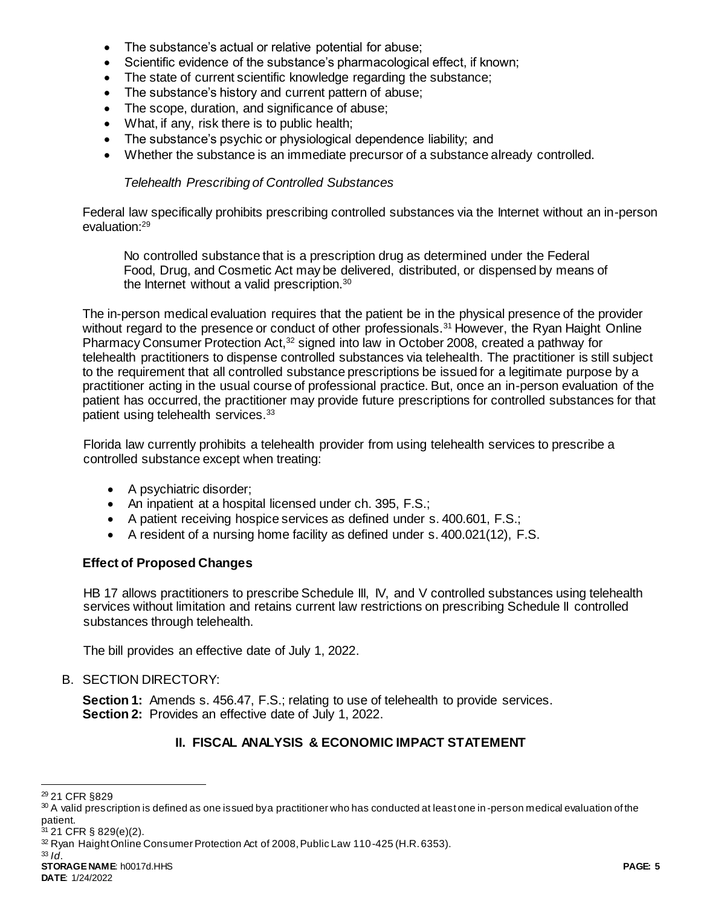- The substance's actual or relative potential for abuse;
- Scientific evidence of the substance's pharmacological effect, if known;
- The state of current scientific knowledge regarding the substance;
- The substance's history and current pattern of abuse;
- The scope, duration, and significance of abuse;
- What, if any, risk there is to public health;
- The substance's psychic or physiological dependence liability; and
- Whether the substance is an immediate precursor of a substance already controlled.

# *Telehealth Prescribing of Controlled Substances*

Federal law specifically prohibits prescribing controlled substances via the Internet without an in-person evaluation:<sup>29</sup>

No controlled substance that is a prescription drug as determined under the Federal Food, Drug, and Cosmetic Act may be delivered, distributed, or dispensed by means of the Internet without a valid prescription.<sup>30</sup>

The in-person medical evaluation requires that the patient be in the physical presence of the provider without regard to the presence or conduct of other professionals.<sup>31</sup> However, the Ryan Haight Online Pharmacy Consumer Protection Act,<sup>32</sup> signed into law in October 2008, created a pathway for telehealth practitioners to dispense controlled substances via telehealth. The practitioner is still subject to the requirement that all controlled substance prescriptions be issued for a legitimate purpose by a practitioner acting in the usual course of professional practice. But, once an in-person evaluation of the patient has occurred, the practitioner may provide future prescriptions for controlled substances for that patient using telehealth services.<sup>33</sup>

Florida law currently prohibits a telehealth provider from using telehealth services to prescribe a controlled substance except when treating:

- A psychiatric disorder;
- An inpatient at a hospital licensed under ch. 395, F.S.;
- A patient receiving hospice services as defined under s. 400.601, F.S.;
- A resident of a nursing home facility as defined under s. 400.021(12), F.S.

# **Effect of Proposed Changes**

HB 17 allows practitioners to prescribe Schedule III, IV, and V controlled substances using telehealth services without limitation and retains current law restrictions on prescribing Schedule II controlled substances through telehealth.

The bill provides an effective date of July 1, 2022.

# B. SECTION DIRECTORY:

**Section 1:** Amends s. 456.47, F.S.; relating to use of telehealth to provide services. **Section 2:** Provides an effective date of July 1, 2022.

# **II. FISCAL ANALYSIS & ECONOMIC IMPACT STATEMENT**

l <sup>29</sup> 21 CFR §829

<sup>30</sup> A valid prescription is defined as one issued by a practitioner who has conducted at least one in -person medical evaluation of the patient.

<sup>31</sup> 21 CFR § 829(e)(2).

<sup>&</sup>lt;sup>32</sup> Ryan Haight Online Consumer Protection Act of 2008, Public Law 110-425 (H.R. 6353).